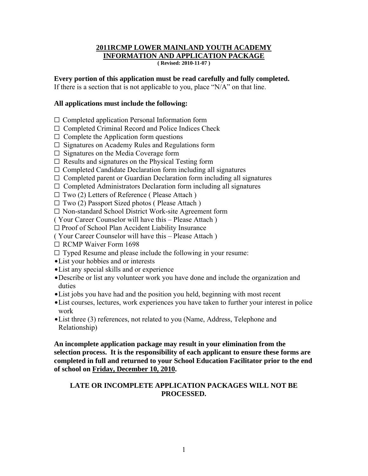# **2011RCMP LOWER MAINLAND YOUTH ACADEMY INFORMATION AND APPLICATION PACKAGE**

**( Revised: 2010-11-07 )**

#### **Every portion of this application must be read carefully and fully completed.**

If there is a section that is not applicable to you, place "N/A" on that line.

## **All applications must include the following:**

- $\Box$  Completed application Personal Information form
- $\Box$  Completed Criminal Record and Police Indices Check
- $\Box$  Complete the Application form questions
- $\Box$  Signatures on Academy Rules and Regulations form
- $\Box$  Signatures on the Media Coverage form
- $\Box$  Results and signatures on the Physical Testing form
- $\Box$  Completed Candidate Declaration form including all signatures
- $\Box$  Completed parent or Guardian Declaration form including all signatures
- $\Box$  Completed Administrators Declaration form including all signatures
- $\Box$  Two (2) Letters of Reference ( Please Attach )
- $\Box$  Two (2) Passport Sized photos ( Please Attach )
- $\square$  Non-standard School District Work-site Agreement form
- ( Your Career Counselor will have this Please Attach )
- $\square$  Proof of School Plan Accident Liability Insurance
- ( Your Career Counselor will have this Please Attach )
- $\Box$  RCMP Waiver Form 1698
- $\Box$  Typed Resume and please include the following in your resume:
- List your hobbies and or interests
- List any special skills and or experience
- \$Describe or list any volunteer work you have done and include the organization and duties
- List jobs you have had and the position you held, beginning with most recent
- List courses, lectures, work experiences you have taken to further your interest in police work
- List three (3) references, not related to you (Name, Address, Telephone and Relationship)

**An incomplete application package may result in your elimination from the selection process. It is the responsibility of each applicant to ensure these forms are completed in full and returned to your School Education Facilitator prior to the end of school on Friday, December 10, 2010.** 

# **LATE OR INCOMPLETE APPLICATION PACKAGES WILL NOT BE PROCESSED.**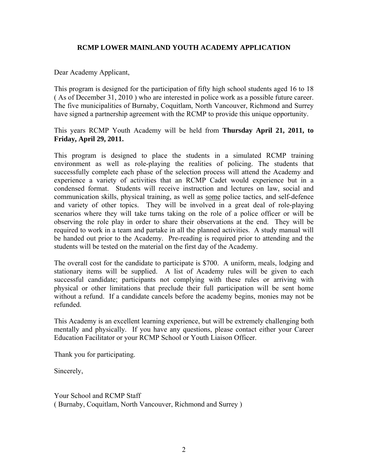# **RCMP LOWER MAINLAND YOUTH ACADEMY APPLICATION**

Dear Academy Applicant,

This program is designed for the participation of fifty high school students aged 16 to 18 ( As of December 31, 2010 ) who are interested in police work as a possible future career. The five municipalities of Burnaby, Coquitlam, North Vancouver, Richmond and Surrey have signed a partnership agreement with the RCMP to provide this unique opportunity.

This years RCMP Youth Academy will be held from **Thursday April 21, 2011, to Friday, April 29, 2011.**

This program is designed to place the students in a simulated RCMP training environment as well as role-playing the realities of policing. The students that successfully complete each phase of the selection process will attend the Academy and experience a variety of activities that an RCMP Cadet would experience but in a condensed format. Students will receive instruction and lectures on law, social and communication skills, physical training, as well as some police tactics, and self-defence and variety of other topics. They will be involved in a great deal of role-playing scenarios where they will take turns taking on the role of a police officer or will be observing the role play in order to share their observations at the end. They will be required to work in a team and partake in all the planned activities. A study manual will be handed out prior to the Academy. Pre-reading is required prior to attending and the students will be tested on the material on the first day of the Academy.

The overall cost for the candidate to participate is \$700. A uniform, meals, lodging and stationary items will be supplied. A list of Academy rules will be given to each successful candidate; participants not complying with these rules or arriving with physical or other limitations that preclude their full participation will be sent home without a refund. If a candidate cancels before the academy begins, monies may not be refunded.

This Academy is an excellent learning experience, but will be extremely challenging both mentally and physically. If you have any questions, please contact either your Career Education Facilitator or your RCMP School or Youth Liaison Officer.

Thank you for participating.

Sincerely,

Your School and RCMP Staff ( Burnaby, Coquitlam, North Vancouver, Richmond and Surrey )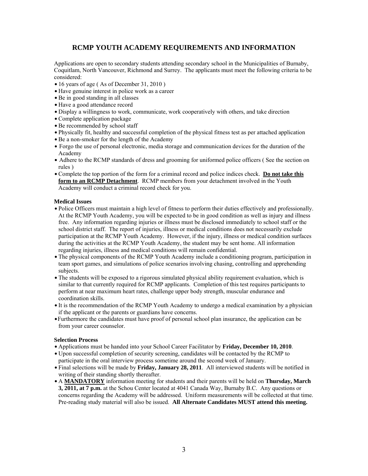### **RCMP YOUTH ACADEMY REQUIREMENTS AND INFORMATION**

Applications are open to secondary students attending secondary school in the Municipalities of Burnaby, Coquitlam, North Vancouver, Richmond and Surrey. The applicants must meet the following criteria to be considered:

- $\bullet$  16 years of age (As of December 31, 2010)
- Have genuine interest in police work as a career
- Be in good standing in all classes
- Have a good attendance record
- \$ Display a willingness to work, communicate, work cooperatively with others, and take direction
- Complete application package
- Be recommended by school staff
- \$ Physically fit, healthy and successful completion of the physical fitness test as per attached application
- Be a non-smoker for the length of the Academy
- Forgo the use of personal electronic, media storage and communication devices for the duration of the Academy
- Adhere to the RCMP standards of dress and grooming for uniformed police officers ( See the section on rules )
- \$ Complete the top portion of the form for a criminal record and police indices check. **Do not take this form to an RCMP Detachment**. RCMP members from your detachment involved in the Youth Academy will conduct a criminal record check for you.

#### **Medical Issues**

- \$ Police Officers must maintain a high level of fitness to perform their duties effectively and professionally. At the RCMP Youth Academy, you will be expected to be in good condition as well as injury and illness free. Any information regarding injuries or illness must be disclosed immediately to school staff or the school district staff. The report of injuries, illness or medical conditions does not necessarily exclude participation at the RCMP Youth Academy. However, if the injury, illness or medical condition surfaces during the activities at the RCMP Youth Academy, the student may be sent home. All information regarding injuries, illness and medical conditions will remain confidential.
- The physical components of the RCMP Youth Academy include a conditioning program, participation in team sport games, and simulations of police scenarios involving chasing, controlling and apprehending subjects.
- The students will be exposed to a rigorous simulated physical ability requirement evaluation, which is similar to that currently required for RCMP applicants. Completion of this test requires participants to perform at near maximum heart rates, challenge upper body strength, muscular endurance and coordination skills.
- It is the recommendation of the RCMP Youth Academy to undergo a medical examination by a physician if the applicant or the parents or guardians have concerns.
- \$Furthermore the candidates must have proof of personal school plan insurance, the application can be from your career counselor.

#### **Selection Process**

- \$ Applications must be handed into your School Career Facilitator by **Friday, December 10, 2010**.
- \$ Upon successful completion of security screening, candidates will be contacted by the RCMP to participate in the oral interview process sometime around the second week of January.
- Final selections will be made by **Friday, January 28, 2011**. All interviewed students will be notified in writing of their standing shortly thereafter.
- \$ A **MANDATORY** information meeting for students and their parents will be held on **Thursday, March 3, 2011, at 7 p.m.** at the Schou Center located at 4041 Canada Way, Burnaby B.C. Any questions or concerns regarding the Academy will be addressed. Uniform measurements will be collected at that time. Pre-reading study material will also be issued. **All Alternate Candidates MUST attend this meeting.**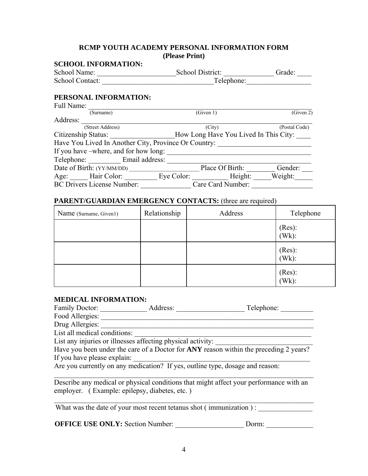### **RCMP YOUTH ACADEMY PERSONAL INFORMATION FORM (Please Print)**

## **SCHOOL INFORMATION:**

| School Name:    | School District: | Grade:     |
|-----------------|------------------|------------|
| School Contact: |                  | Telephone: |

# **PERSONAL INFORMATION:**

| Full Name:                                           |                                       |               |
|------------------------------------------------------|---------------------------------------|---------------|
| (Surname)                                            | (Given 1)                             | (Given 2)     |
| Address:                                             |                                       |               |
| (Street Address)                                     | (City)                                | (Postal Code) |
| Citizenship Status:                                  | How Long Have You Lived In This City: |               |
| Have You Lived In Another City, Province Or Country: |                                       |               |
| If you have –where, and for how long:                |                                       |               |
| Telephone: Email address:                            |                                       |               |
| Date of Birth: (YY/MM/DD)                            | Place Of Birth:                       | Gender:       |
| Age: Hair Color: Eye Color: Height:                  |                                       | Weight:       |
| <b>BC Drivers License Number:</b>                    | Care Card Number:                     |               |

## PARENT/GUARDIAN EMERGENCY CONTACTS: (three are required)

| Name (Surname, Given1) | Relationship | Address | Telephone          |
|------------------------|--------------|---------|--------------------|
|                        |              |         | (Res):<br>$(Wk)$ : |
|                        |              |         | (Res):<br>$(Wk)$ : |
|                        |              |         | (Res):<br>$(Wk)$ : |

#### **MEDICAL INFORMATION:**

| Family Doctor:                                              | Address:                                                                              | Telephone: |
|-------------------------------------------------------------|---------------------------------------------------------------------------------------|------------|
| Food Allergies:                                             |                                                                                       |            |
| Drug Allergies:                                             |                                                                                       |            |
| List all medical conditions:                                |                                                                                       |            |
|                                                             | List any injuries or illnesses affecting physical activity:                           |            |
|                                                             | Have you been under the care of a Doctor for ANY reason within the preceding 2 years? |            |
| $\mathbf{r} \cdot \mathbf{r} = \mathbf{r} \cdot \mathbf{r}$ |                                                                                       |            |

If you have please explain:

Are you currently on any medication? If yes, outline type, dosage and reason:

Describe any medical or physical conditions that might affect your performance with an employer. ( Example: epilepsy, diabetes, etc. )

 $\mathcal{L}_\text{max} = \mathcal{L}_\text{max} = \mathcal{L}_\text{max} = \mathcal{L}_\text{max} = \mathcal{L}_\text{max} = \mathcal{L}_\text{max} = \mathcal{L}_\text{max} = \mathcal{L}_\text{max} = \mathcal{L}_\text{max} = \mathcal{L}_\text{max} = \mathcal{L}_\text{max} = \mathcal{L}_\text{max} = \mathcal{L}_\text{max} = \mathcal{L}_\text{max} = \mathcal{L}_\text{max} = \mathcal{L}_\text{max} = \mathcal{L}_\text{max} = \mathcal{L}_\text{max} = \mathcal{$ 

 $\mathcal{L}_\text{max}$  , and the contribution of the contribution of the contribution of the contribution of the contribution of the contribution of the contribution of the contribution of the contribution of the contribution of t What was the date of your most recent tetanus shot (immunization) :

**OFFICE USE ONLY:** Section Number: \_\_\_\_\_\_\_\_\_\_\_\_\_\_\_\_\_\_\_ Dorm: \_\_\_\_\_\_\_\_\_\_\_\_\_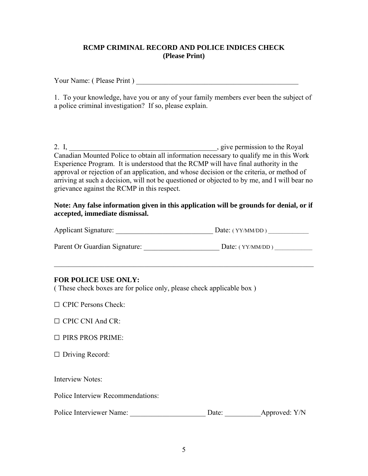# **RCMP CRIMINAL RECORD AND POLICE INDICES CHECK (Please Print)**

Your Name: ( Please Print ) \_\_\_\_\_\_\_\_\_\_\_\_\_\_\_\_\_\_\_\_\_\_\_\_\_\_\_\_\_\_\_\_\_\_\_\_\_\_\_\_\_\_\_\_\_

1. To your knowledge, have you or any of your family members ever been the subject of a police criminal investigation? If so, please explain.

2. I, \_\_\_\_\_\_\_\_\_\_\_\_\_\_\_\_\_\_\_\_\_\_\_\_\_\_\_\_\_\_\_\_\_\_\_\_\_\_\_\_\_, give permission to the Royal Canadian Mounted Police to obtain all information necessary to qualify me in this Work Experience Program. It is understood that the RCMP will have final authority in the approval or rejection of an application, and whose decision or the criteria, or method of arriving at such a decision, will not be questioned or objected to by me, and I will bear no grievance against the RCMP in this respect.

## **Note: Any false information given in this application will be grounds for denial, or if accepted, immediate dismissal.**

| <b>Applicant Signature:</b>   | Date: $(YY/MM/DD)$ |
|-------------------------------|--------------------|
| Parent Or Guardian Signature: | Date: $(YY/MM/DD)$ |

 $\mathcal{L}_\text{max}$  , and the contribution of the contribution of the contribution of the contribution of the contribution of the contribution of the contribution of the contribution of the contribution of the contribution of t

# **FOR POLICE USE ONLY:**

( These check boxes are for police only, please check applicable box )

 $\Box$  CPIC Persons Check:

 $\Box$  CPIC CNI And CR:

|  |  |  | $\Box$ PIRS PROS PRIME: |
|--|--|--|-------------------------|
|--|--|--|-------------------------|

 $\Box$  Driving Record:

Interview Notes:

Police Interview Recommendations:

| Police Interviewer Name: | Date: | Approved: Y/N |
|--------------------------|-------|---------------|
|--------------------------|-------|---------------|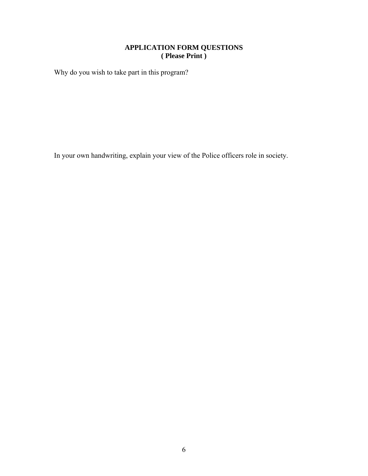## **APPLICATION FORM QUESTIONS ( Please Print )**

Why do you wish to take part in this program?

In your own handwriting, explain your view of the Police officers role in society.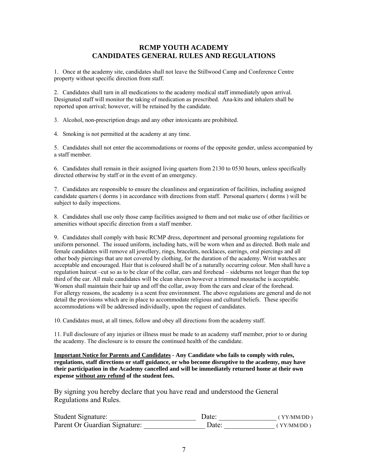#### **RCMP YOUTH ACADEMY CANDIDATES GENERAL RULES AND REGULATIONS**

1. Once at the academy site, candidates shall not leave the Stillwood Camp and Conference Centre property without specific direction from staff.

2. Candidates shall turn in all medications to the academy medical staff immediately upon arrival. Designated staff will monitor the taking of medication as prescribed. Ana-kits and inhalers shall be reported upon arrival; however, will be retained by the candidate.

3. Alcohol, non-prescription drugs and any other intoxicants are prohibited.

4. Smoking is not permitted at the academy at any time.

5. Candidates shall not enter the accommodations or rooms of the opposite gender, unless accompanied by a staff member.

6. Candidates shall remain in their assigned living quarters from 2130 to 0530 hours, unless specifically directed otherwise by staff or in the event of an emergency.

7. Candidates are responsible to ensure the cleanliness and organization of facilities, including assigned candidate quarters ( dorms ) in accordance with directions from staff. Personal quarters ( dorms ) will be subject to daily inspections.

8. Candidates shall use only those camp facilities assigned to them and not make use of other facilities or amenities without specific direction from a staff member.

9. Candidates shall comply with basic RCMP dress, deportment and personal grooming regulations for uniform personnel. The issued uniform, including hats, will be worn when and as directed. Both male and female candidates will remove all jewellery, rings, bracelets, necklaces, earrings, oral piercings and all other body piercings that are not covered by clothing, for the duration of the academy. Wrist watches are acceptable and encouraged. Hair that is coloured shall be of a naturally occurring colour. Men shall have a regulation haircut –cut so as to be clear of the collar, ears and forehead – sideburns not longer than the top third of the ear. All male candidates will be clean shaven however a trimmed moustache is acceptable. Women shall maintain their hair up and off the collar, away from the ears and clear of the forehead. For allergy reasons, the academy is a scent free environment. The above regulations are general and do not detail the provisions which are in place to accommodate religious and cultural beliefs. These specific accommodations will be addressed individually, upon the request of candidates.

10. Candidates must, at all times, follow and obey all directions from the academy staff.

11. Full disclosure of any injuries or illness must be made to an academy staff member, prior to or during the academy. The disclosure is to ensure the continued health of the candidate.

**Important Notice for Parents and Candidates - Any Candidate who fails to comply with rules, regulations, staff directions or staff guidance, or who become disruptive to the academy, may have their participation in the Academy cancelled and will be immediately returned home at their own expense without any refund of the student fees.**

By signing you hereby declare that you have read and understood the General Regulations and Rules.

| Student Signature:            | Date∶ | (YY/MM/DD) |
|-------------------------------|-------|------------|
| Parent Or Guardian Signature: | Date: | (YY/MM/DD) |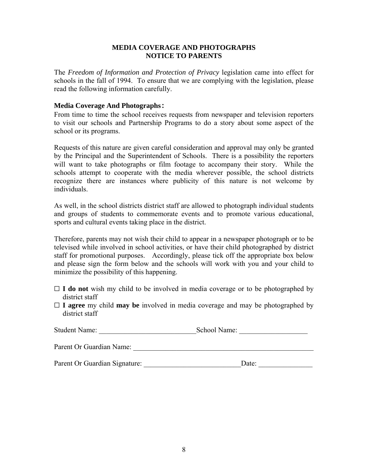### **MEDIA COVERAGE AND PHOTOGRAPHS NOTICE TO PARENTS**

The *Freedom of Information and Protection of Privacy* legislation came into effect for schools in the fall of 1994. To ensure that we are complying with the legislation, please read the following information carefully.

#### **Media Coverage And Photographs:**

From time to time the school receives requests from newspaper and television reporters to visit our schools and Partnership Programs to do a story about some aspect of the school or its programs.

Requests of this nature are given careful consideration and approval may only be granted by the Principal and the Superintendent of Schools. There is a possibility the reporters will want to take photographs or film footage to accompany their story. While the schools attempt to cooperate with the media wherever possible, the school districts recognize there are instances where publicity of this nature is not welcome by individuals.

As well, in the school districts district staff are allowed to photograph individual students and groups of students to commemorate events and to promote various educational, sports and cultural events taking place in the district.

Therefore, parents may not wish their child to appear in a newspaper photograph or to be televised while involved in school activities, or have their child photographed by district staff for promotional purposes. Accordingly, please tick off the appropriate box below and please sign the form below and the schools will work with you and your child to minimize the possibility of this happening.

- $\Box$  **I** do not wish my child to be involved in media coverage or to be photographed by district staff
- $\Box$  **I** agree my child **may be** involved in media coverage and may be photographed by district staff

| <b>Student Name:</b>          | School Name: |  |
|-------------------------------|--------------|--|
| Parent Or Guardian Name:      |              |  |
| Parent Or Guardian Signature: | Date:        |  |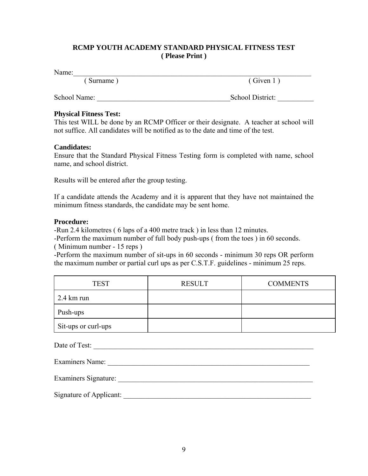# **RCMP YOUTH ACADEMY STANDARD PHYSICAL FITNESS TEST ( Please Print )**

Name:\_\_\_\_\_\_\_\_\_\_\_\_\_\_\_\_\_\_\_\_\_\_\_\_\_\_\_\_\_\_\_\_\_\_\_\_\_\_\_\_\_\_\_\_\_\_\_\_\_\_\_\_\_\_\_\_\_\_\_\_\_\_\_\_\_\_

( Given 1 ) ( Given 1 )

School Name: \_\_\_\_\_\_\_\_\_\_\_\_\_\_\_\_\_\_\_\_\_\_\_\_\_\_\_\_\_\_\_\_\_\_\_\_\_School District: \_\_\_\_\_\_\_\_\_\_

# **Physical Fitness Test:**

This test WILL be done by an RCMP Officer or their designate. A teacher at school will not suffice. All candidates will be notified as to the date and time of the test.

# **Candidates:**

Ensure that the Standard Physical Fitness Testing form is completed with name, school name, and school district.

Results will be entered after the group testing.

If a candidate attends the Academy and it is apparent that they have not maintained the minimum fitness standards, the candidate may be sent home.

## **Procedure:**

-Run 2.4 kilometres ( 6 laps of a 400 metre track ) in less than 12 minutes.

-Perform the maximum number of full body push-ups ( from the toes ) in 60 seconds. ( Minimum number - 15 reps )

-Perform the maximum number of sit-ups in 60 seconds - minimum 30 reps OR perform the maximum number or partial curl ups as per C.S.T.F. guidelines - minimum 25 reps.

| <b>TEST</b>          | <b>RESULT</b> | <b>COMMENTS</b> |
|----------------------|---------------|-----------------|
| $2.4 \text{ km}$ run |               |                 |
| Push-ups             |               |                 |
| Sit-ups or curl-ups  |               |                 |

| Date of Test:           |  |
|-------------------------|--|
| <b>Examiners Name:</b>  |  |
| Examiners Signature:    |  |
| Signature of Applicant: |  |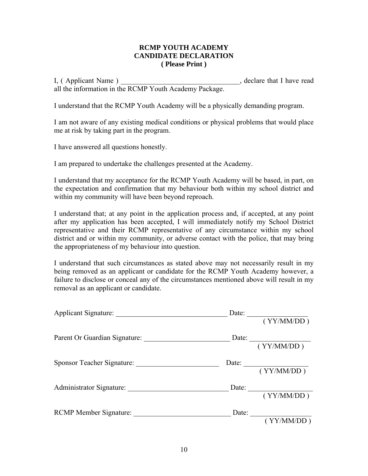#### **RCMP YOUTH ACADEMY CANDIDATE DECLARATION ( Please Print )**

I, ( Applicant Name ) \_\_\_\_\_\_\_\_\_\_\_\_\_\_\_\_\_\_\_\_\_\_\_\_\_\_\_\_\_\_\_\_\_, declare that I have read all the information in the RCMP Youth Academy Package.

I understand that the RCMP Youth Academy will be a physically demanding program.

I am not aware of any existing medical conditions or physical problems that would place me at risk by taking part in the program.

I have answered all questions honestly.

I am prepared to undertake the challenges presented at the Academy.

I understand that my acceptance for the RCMP Youth Academy will be based, in part, on the expectation and confirmation that my behaviour both within my school district and within my community will have been beyond reproach.

I understand that; at any point in the application process and, if accepted, at any point after my application has been accepted, I will immediately notify my School District representative and their RCMP representative of any circumstance within my school district and or within my community, or adverse contact with the police, that may bring the appropriateness of my behaviour into question.

I understand that such circumstances as stated above may not necessarily result in my being removed as an applicant or candidate for the RCMP Youth Academy however, a failure to disclose or conceal any of the circumstances mentioned above will result in my removal as an applicant or candidate.

| Applicant Signature:          |                                                                                                                                                                                                                                                                                                                                                                                                                  |
|-------------------------------|------------------------------------------------------------------------------------------------------------------------------------------------------------------------------------------------------------------------------------------------------------------------------------------------------------------------------------------------------------------------------------------------------------------|
|                               | (YY/MM/DD)                                                                                                                                                                                                                                                                                                                                                                                                       |
| Parent Or Guardian Signature: | Date: $\frac{1}{1-\frac{1}{1-\frac{1}{1-\frac{1}{1-\frac{1}{1-\frac{1}{1-\frac{1}{1-\frac{1}{1-\frac{1}{1-\frac{1}{1-\frac{1}{1-\frac{1}{1-\frac{1}{1-\frac{1}{1-\frac{1}{1-\frac{1}{1-\frac{1}{1-\frac{1}{1-\frac{1}{1-\frac{1}{1-\frac{1}{1-\frac{1}{1-\frac{1}{1-\frac{1}{1-\frac{1}{1-\frac{1}{1-\frac{1}{1-\frac{1}{1-\frac{1}{1-\frac{1}{1-\frac{1}{1-\frac{1}{1-\frac{1}{1-\frac{1}{1-\frac{1}{1-\frac{1$ |
|                               | (YY/MM/DD)                                                                                                                                                                                                                                                                                                                                                                                                       |
| Sponsor Teacher Signature:    |                                                                                                                                                                                                                                                                                                                                                                                                                  |
|                               | Date: $\frac{YY}{\frac{YY}{MMDD}}$                                                                                                                                                                                                                                                                                                                                                                               |
|                               | Date: $\frac{1}{\sqrt{1-\frac{1}{2}} \cdot \frac{1}{\sqrt{1-\frac{1}{2}} \cdot \frac{1}{2}} \cdot \frac{1}{\sqrt{1-\frac{1}{2}} \cdot \frac{1}{2}}}}$                                                                                                                                                                                                                                                            |
|                               | (YY/MM/DD)                                                                                                                                                                                                                                                                                                                                                                                                       |
| <b>RCMP Member Signature:</b> | Date: $\qquad \qquad$                                                                                                                                                                                                                                                                                                                                                                                            |
|                               | (YY/MM/DD)                                                                                                                                                                                                                                                                                                                                                                                                       |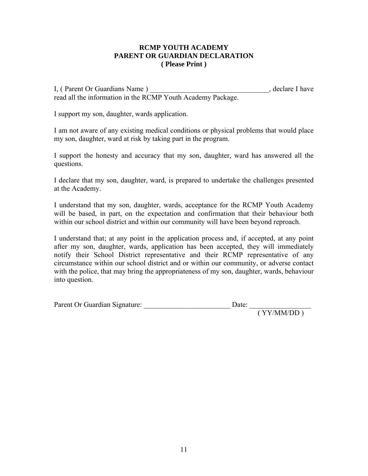## **RCMP YOUTH ACADEMY PARENT OR GUARDIAN DECLARATION ( Please Print )**

I, (Parent Or Guardians Name) example and set of the set of the set of the set of the set of the set of the set of the set of the set of the set of the set of the set of the set of the set of the set of the set of the set read all the information in the RCMP Youth Academy Package.

I support my son, daughter, wards application.

I am not aware of any existing medical conditions or physical problems that would place my son, daughter, ward at risk by taking part in the program.

I support the honesty and accuracy that my son, daughter, ward has answered all the questions.

I declare that my son, daughter, ward, is prepared to undertake the challenges presented at the Academy.

I understand that my son, daughter, wards, acceptance for the RCMP Youth Academy will be based, in part, on the expectation and confirmation that their behaviour both within our school district and within our community will have been beyond reproach.

I understand that; at any point in the application process and, if accepted, at any point after my son, daughter, wards, application has been accepted, they will immediately notify their School District representative and their RCMP representative of any circumstance within our school district and or within our community, or adverse contact with the police, that may bring the appropriateness of my son, daughter, wards, behaviour into question.

| Parent Or Guardian Signature: | Date: |
|-------------------------------|-------|
|                               |       |

( YY/MM/DD )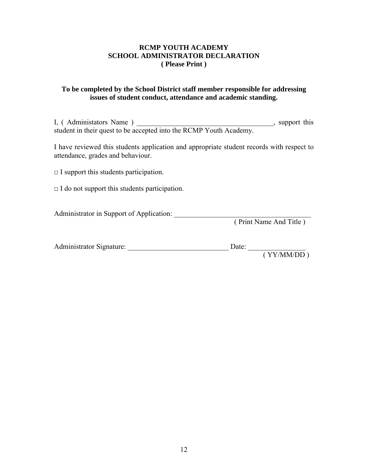## **RCMP YOUTH ACADEMY SCHOOL ADMINISTRATOR DECLARATION ( Please Print )**

## **To be completed by the School District staff member responsible for addressing issues of student conduct, attendance and academic standing.**

I, (Administators Name) support this student in their quest to be accepted into the RCMP Youth Academy.

I have reviewed this students application and appropriate student records with respect to attendance, grades and behaviour.

 $\Box$  I support this students participation.

 $\Box$  I do not support this students participation.

Administrator in Support of Application: \_\_\_\_\_\_\_\_\_\_\_\_\_\_\_\_\_\_\_\_\_\_\_\_\_\_\_\_\_\_\_\_\_\_\_\_\_\_

( Print Name And Title )

| Administrator Signature: | Date: |              |
|--------------------------|-------|--------------|
|                          |       | ( VVMMA/DD ) |

( YY/MM/DD )